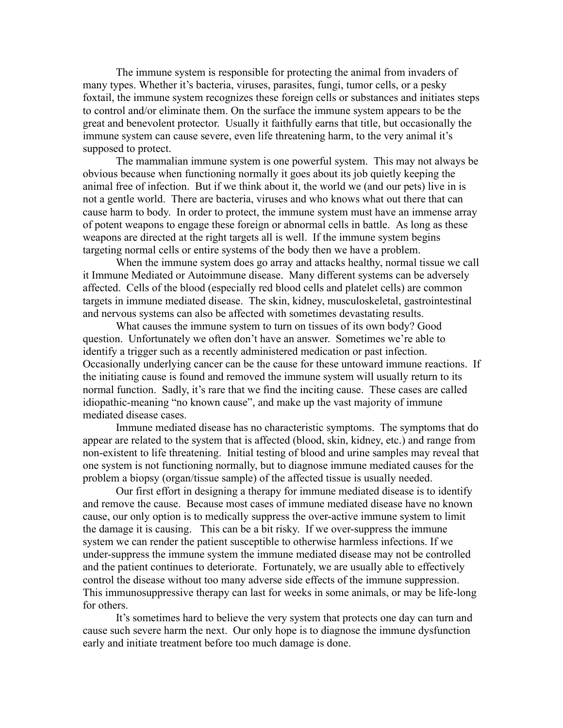The immune system is responsible for protecting the animal from invaders of many types. Whether it's bacteria, viruses, parasites, fungi, tumor cells, or a pesky foxtail, the immune system recognizes these foreign cells or substances and initiates steps to control and/or eliminate them. On the surface the immune system appears to be the great and benevolent protector. Usually it faithfully earns that title, but occasionally the immune system can cause severe, even life threatening harm, to the very animal it's supposed to protect.

The mammalian immune system is one powerful system. This may not always be obvious because when functioning normally it goes about its job quietly keeping the animal free of infection. But if we think about it, the world we (and our pets) live in is not a gentle world. There are bacteria, viruses and who knows what out there that can cause harm to body. In order to protect, the immune system must have an immense array of potent weapons to engage these foreign or abnormal cells in battle. As long as these weapons are directed at the right targets all is well. If the immune system begins targeting normal cells or entire systems of the body then we have a problem.

When the immune system does go array and attacks healthy, normal tissue we call it Immune Mediated or Autoimmune disease. Many different systems can be adversely affected. Cells of the blood (especially red blood cells and platelet cells) are common targets in immune mediated disease. The skin, kidney, musculoskeletal, gastrointestinal and nervous systems can also be affected with sometimes devastating results.

What causes the immune system to turn on tissues of its own body? Good question. Unfortunately we often don't have an answer. Sometimes we're able to identify a trigger such as a recently administered medication or past infection. Occasionally underlying cancer can be the cause for these untoward immune reactions. If the initiating cause is found and removed the immune system will usually return to its normal function. Sadly, it's rare that we find the inciting cause. These cases are called idiopathic-meaning "no known cause", and make up the vast majority of immune mediated disease cases.

Immune mediated disease has no characteristic symptoms. The symptoms that do appear are related to the system that is affected (blood, skin, kidney, etc.) and range from non-existent to life threatening. Initial testing of blood and urine samples may reveal that one system is not functioning normally, but to diagnose immune mediated causes for the problem a biopsy (organ/tissue sample) of the affected tissue is usually needed.

Our first effort in designing a therapy for immune mediated disease is to identify and remove the cause. Because most cases of immune mediated disease have no known cause, our only option is to medically suppress the over-active immune system to limit the damage it is causing. This can be a bit risky. If we over-suppress the immune system we can render the patient susceptible to otherwise harmless infections. If we under-suppress the immune system the immune mediated disease may not be controlled and the patient continues to deteriorate. Fortunately, we are usually able to effectively control the disease without too many adverse side effects of the immune suppression. This immunosuppressive therapy can last for weeks in some animals, or may be life-long for others.

It's sometimes hard to believe the very system that protects one day can turn and cause such severe harm the next. Our only hope is to diagnose the immune dysfunction early and initiate treatment before too much damage is done.